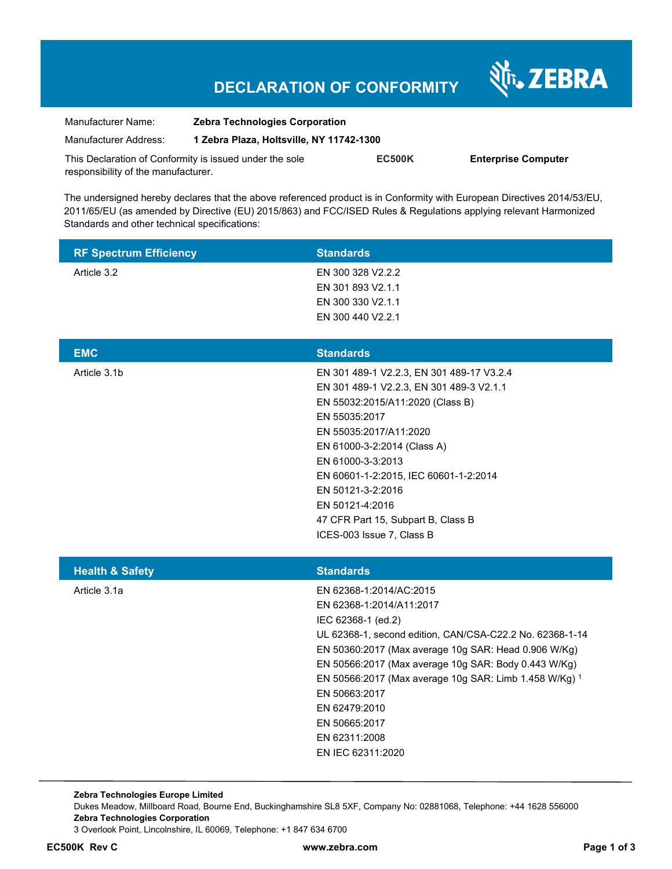# **DECLARATION OF CONFORMITY**

Nr. ZEBRA

| Manufacturer Name:                                      | <b>Zebra Technologies Corporation</b>    |               |                            |
|---------------------------------------------------------|------------------------------------------|---------------|----------------------------|
| Manufacturer Address:                                   | 1 Zebra Plaza, Holtsville, NY 11742-1300 |               |                            |
| This Declaration of Conformity is issued under the sole |                                          | <b>EC500K</b> | <b>Enterprise Computer</b> |
| responsibility of the manufacturer.                     |                                          |               |                            |

The undersigned hereby declares that the above referenced product is in Conformity with European Directives 2014/53/EU, 2011/65/EU (as amended by Directive (EU) 2015/863) and FCC/ISED Rules & Regulations applying relevant Harmonized Standards and other technical specifications:

| <b>RF Spectrum Efficiency</b> | <b>Standards</b>                                                                                                                                                                                                                                                                                                                                                                                         |
|-------------------------------|----------------------------------------------------------------------------------------------------------------------------------------------------------------------------------------------------------------------------------------------------------------------------------------------------------------------------------------------------------------------------------------------------------|
| Article 3.2                   | EN 300 328 V2.2.2<br>EN 301 893 V2.1.1<br>EN 300 330 V2.1.1<br>EN 300 440 V2.2.1                                                                                                                                                                                                                                                                                                                         |
| <b>EMC</b>                    | <b>Standards</b>                                                                                                                                                                                                                                                                                                                                                                                         |
| Article 3.1b                  | EN 301 489-1 V2.2.3, EN 301 489-17 V3.2.4<br>EN 301 489-1 V2.2.3, EN 301 489-3 V2.1.1<br>EN 55032:2015/A11:2020 (Class B)<br>EN 55035:2017<br>EN 55035:2017/A11:2020<br>EN 61000-3-2:2014 (Class A)<br>EN 61000-3-3:2013<br>EN 60601-1-2:2015, IEC 60601-1-2:2014<br>EN 50121-3-2:2016<br>EN 50121-4:2016<br>47 CFR Part 15, Subpart B, Class B<br>ICES-003 Issue 7, Class B                             |
| <b>Health &amp; Safety</b>    | <b>Standards</b>                                                                                                                                                                                                                                                                                                                                                                                         |
| Article 3.1a                  | EN 62368-1:2014/AC:2015<br>EN 62368-1:2014/A11:2017<br>IEC 62368-1 (ed.2)<br>UL 62368-1, second edition, CAN/CSA-C22.2 No. 62368-1-14<br>EN 50360:2017 (Max average 10g SAR: Head 0.906 W/Kg)<br>EN 50566:2017 (Max average 10g SAR: Body 0.443 W/Kg)<br>EN 50566:2017 (Max average 10g SAR: Limb 1.458 W/Kg) 1<br>EN 50663:2017<br>EN 62479:2010<br>EN 50665:2017<br>EN 62311:2008<br>EN IEC 62311:2020 |

**Zebra Technologies Europe Limited**  Dukes Meadow, Millboard Road, Bourne End, Buckinghamshire SL8 5XF, Company No: 02881068, Telephone: +44 1628 556000 **Zebra Technologies Corporation**  3 Overlook Point, Lincolnshire, IL 60069, Telephone: +1 847 634 6700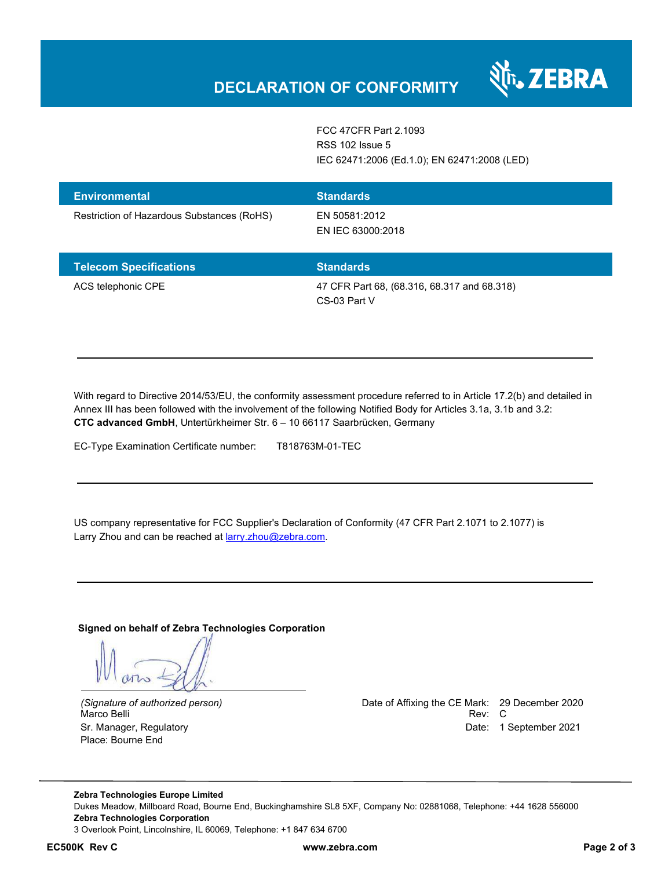

FCC 47CFR Part 2.1093 RSS 102 Issue 5 IEC 62471:2006 (Ed.1.0); EN 62471:2008 (LED)

| <b>Environmental</b><br>Restriction of Hazardous Substances (RoHS) | <b>Standards</b><br>EN 50581:2012          |
|--------------------------------------------------------------------|--------------------------------------------|
|                                                                    | EN IEC 63000:2018                          |
| アクセス しんしょう こうしんしょう こうかいしょう しんしょう                                   | <b>Contact of the state of the contact</b> |

| <b>Telecom Specifications</b> | <b>Standards</b>                                            |
|-------------------------------|-------------------------------------------------------------|
| ACS telephonic CPE            | 47 CFR Part 68, (68.316, 68.317 and 68.318)<br>CS-03 Part V |

With regard to Directive 2014/53/EU, the conformity assessment procedure referred to in Article 17.2(b) and detailed in Annex III has been followed with the involvement of the following Notified Body for Articles 3.1a, 3.1b and 3.2: **CTC advanced GmbH**, Untertürkheimer Str. 6 – 10 66117 Saarbrücken, Germany

EC-Type Examination Certificate number: T818763M-01-TEC

US company representative for FCC Supplier's Declaration of Conformity (47 CFR Part 2.1071 to 2.1077) is Larry Zhou and can be reached at **larry.zhou@zebra.com.** 

**Signed on behalf of Zebra Technologies Corporation** 

Marco Belli Place: Bourne End

*(Signature of authorized person)* Date of Affixing the CE Mark: 29 December 2020 Sr. Manager, Regulatory **Date: 1 September 2021** 

**Zebra Technologies Europe Limited**  Dukes Meadow, Millboard Road, Bourne End, Buckinghamshire SL8 5XF, Company No: 02881068, Telephone: +44 1628 556000 **Zebra Technologies Corporation**  3 Overlook Point, Lincolnshire, IL 60069, Telephone: +1 847 634 6700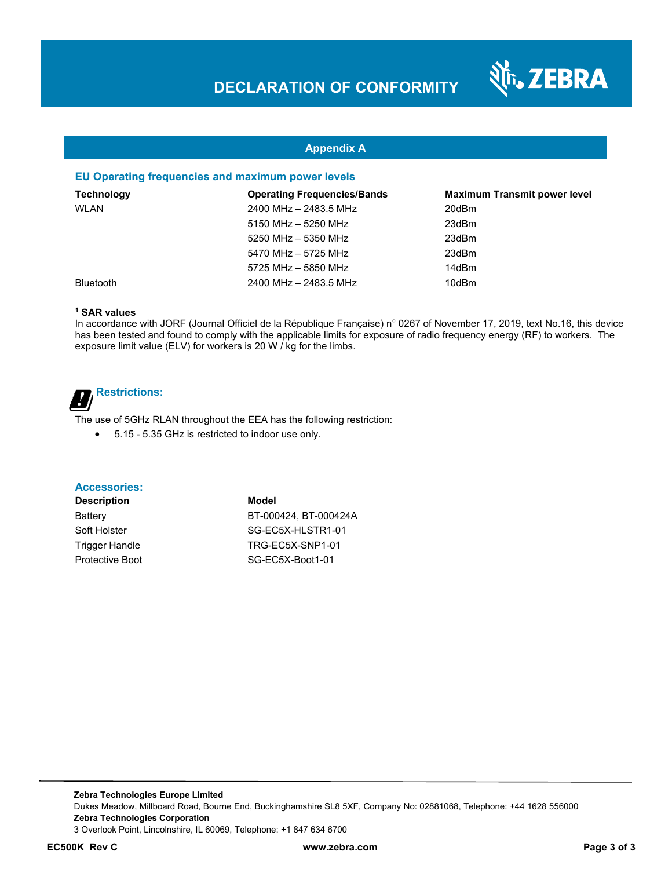

## **Appendix A**

#### **EU Operating frequencies and maximum power levels**

| <b>Technology</b> | <b>Operating Frequencies/Bands</b> | <b>Maximum Transmit power level</b> |
|-------------------|------------------------------------|-------------------------------------|
| <b>WLAN</b>       | 2400 MHz - 2483.5 MHz              | 20dBm                               |
|                   | 5150 MHz - 5250 MHz                | 23dBm                               |
|                   | 5250 MHz - 5350 MHz                | 23dBm                               |
|                   | 5470 MHz - 5725 MHz                | 23dBm                               |
|                   | 5725 MHz - 5850 MHz                | 14dBm                               |
| <b>Bluetooth</b>  | 2400 MHz - 2483.5 MHz              | 10dBm                               |

#### **1 SAR values**

In accordance with JORF (Journal Officiel de la République Française) n° 0267 of November 17, 2019, text No.16, this device has been tested and found to comply with the applicable limits for exposure of radio frequency energy (RF) to workers. The exposure limit value (ELV) for workers is 20 W / kg for the limbs.

## **Restrictions:** <u>.</u>

The use of 5GHz RLAN throughout the EEA has the following restriction:

5.15 - 5.35 GHz is restricted to indoor use only.

#### **Accessories:**

**Description Model**

Battery BT-000424, BT-000424A Soft Holster Soft Holster SG-EC5X-HLSTR1-01 Trigger Handle TRG-EC5X-SNP1-01 Protective Boot SG-EC5X-Boot1-01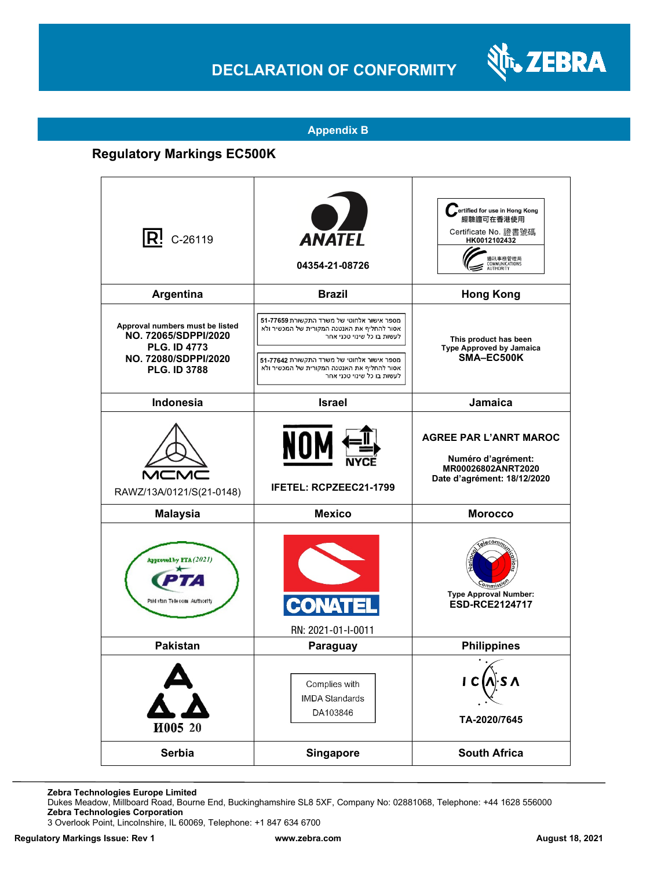# **DECLARATION OF CONFORMITY**



### **Appendix B**

# **Regulatory Markings EC500K**

| $ R!$ C-26119                                                                                                                 | <b>ANATEL</b><br>04354-21-08726                                                                                                                                                                                                                    | ertified for use in Hong Kong<br>經驗證可在香港使用<br>Certificate No. 證書號碼<br>HK0012102432<br>通訊事務管理局<br>COMMUNICATIONS<br>AUTHORITY |
|-------------------------------------------------------------------------------------------------------------------------------|----------------------------------------------------------------------------------------------------------------------------------------------------------------------------------------------------------------------------------------------------|------------------------------------------------------------------------------------------------------------------------------|
| <b>Argentina</b>                                                                                                              | <b>Brazil</b>                                                                                                                                                                                                                                      | <b>Hong Kong</b>                                                                                                             |
| Approval numbers must be listed<br>NO. 72065/SDPPI/2020<br><b>PLG. ID 4773</b><br>NO. 72080/SDPPI/2020<br><b>PLG. ID 3788</b> | מספר אישור אלחוטי של משרד התקשורת 51-77659<br>אסור להחליף את האנטנה המקורית של המכשיר ולא<br>לעשות בו כל שינוי טכני אחר<br>מספר אישור אלחוטי של משרד התקשורת 77642-51<br>אסור להחליף את האנטנה המקורית של המכשיר ולא<br>לעשות בו כל שינוי טכני אחר | This product has been<br><b>Type Approved by Jamaica</b><br>SMA-EC500K                                                       |
| Indonesia                                                                                                                     | <b>Israel</b>                                                                                                                                                                                                                                      | Jamaica                                                                                                                      |
| RAWZ/13A/0121/S(21-0148)                                                                                                      | NOM<br><b>IFETEL: RCPZEEC21-1799</b>                                                                                                                                                                                                               | <b>AGREE PAR L'ANRT MAROC</b><br>Numéro d'agrément:<br>MR00026802ANRT2020<br>Date d'agrément: 18/12/2020                     |
| <b>Malaysia</b>                                                                                                               | <b>Mexico</b>                                                                                                                                                                                                                                      | <b>Morocco</b>                                                                                                               |
| Approved by PTA (2021)<br>Paki stan Telecom Authority                                                                         | RN: 2021-01-I-0011                                                                                                                                                                                                                                 | <b>Type Approval Number:</b><br><b>ESD-RCE2124717</b>                                                                        |
| <b>Pakistan</b>                                                                                                               | Paraguay                                                                                                                                                                                                                                           | <b>Philippines</b>                                                                                                           |
| И005 20                                                                                                                       | Complies with<br><b>IMDA Standards</b><br>DA103846                                                                                                                                                                                                 | TA-2020/7645                                                                                                                 |
| Serbia                                                                                                                        | <b>Singapore</b>                                                                                                                                                                                                                                   | <b>South Africa</b>                                                                                                          |

**Zebra Technologies Europe Limited**

Dukes Meadow, Millboard Road, Bourne End, Buckinghamshire SL8 5XF, Company No: 02881068, Telephone: +44 1628 556000 **Zebra Technologies Corporation** 

3 Overlook Point, Lincolnshire, IL 60069, Telephone: +1 847 634 6700